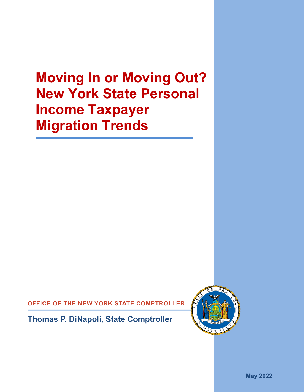# **Moving In or Moving Out? New York State Personal Income Taxpayer Migration Trends**

OFFICE OF THE NEW YORK STATE COMPTROLLER

**Thomas P. DiNapoli, State Comptroller** 



**May 2022**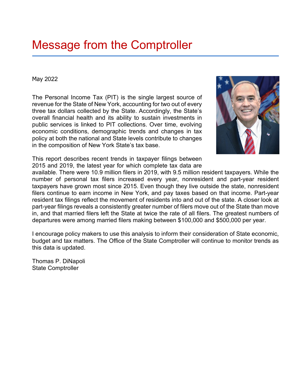## Message from the Comptroller

#### May 2022

The Personal Income Tax (PIT) is the single largest source of revenue for the State of New York, accounting for two out of every three tax dollars collected by the State. Accordingly, the State's overall financial health and its ability to sustain investments in public services is linked to PIT collections. Over time, evolving economic conditions, demographic trends and changes in tax policy at both the national and State levels contribute to changes in the composition of New York State's tax base.



This report describes recent trends in taxpayer filings between 2015 and 2019, the latest year for which complete tax data are

available. There were 10.9 million filers in 2019, with 9.5 million resident taxpayers. While the number of personal tax filers increased every year, nonresident and part-year resident taxpayers have grown most since 2015. Even though they live outside the state, nonresident filers continue to earn income in New York, and pay taxes based on that income. Part-year resident tax filings reflect the movement of residents into and out of the state. A closer look at part-year filings reveals a consistently greater number of filers move out of the State than move in, and that married filers left the State at twice the rate of all filers. The greatest numbers of departures were among married filers making between \$100,000 and \$500,000 per year.

I encourage policy makers to use this analysis to inform their consideration of State economic, budget and tax matters. The Office of the State Comptroller will continue to monitor trends as this data is updated.

Thomas P. DiNapoli State Comptroller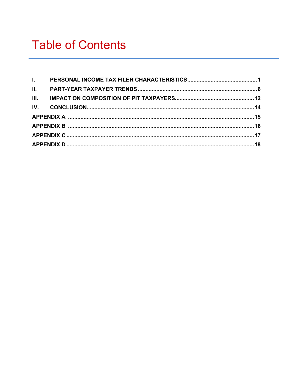| III. |  |  |  |  |  |  |  |  |
|------|--|--|--|--|--|--|--|--|
|      |  |  |  |  |  |  |  |  |
|      |  |  |  |  |  |  |  |  |
|      |  |  |  |  |  |  |  |  |
|      |  |  |  |  |  |  |  |  |
|      |  |  |  |  |  |  |  |  |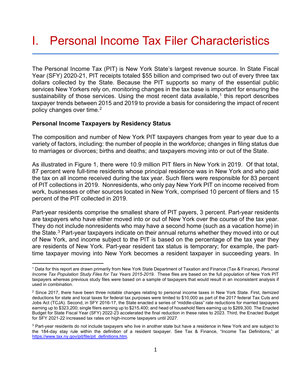### <span id="page-3-0"></span>I. Personal Income Tax Filer Characteristics

The Personal Income Tax (PIT) is New York State's largest revenue source. In State Fiscal Year (SFY) 2020-21, PIT receipts totaled \$55 billion and comprised two out of every three tax dollars collected by the State. Because the PIT supports so many of the essential public services New Yorkers rely on, monitoring changes in the tax base is important for ensuring the sustainability of those services. Using the most recent data available,<sup>[1](#page-3-1)</sup> this report describes taxpayer trends between 2015 and 2019 to provide a basis for considering the impact of recent policy changes over time.<sup>[2](#page-3-2)</sup>

#### **Personal Income Taxpayers by Residency Status**

The composition and number of New York PIT taxpayers changes from year to year due to a variety of factors, including: the number of people in the workforce; changes in filing status due to marriages or divorces; births and deaths; and taxpayers moving into or out of the State.

As illustrated in Figure 1, there were 10.9 million PIT filers in New York in 2019. Of that total, 87 percent were full-time residents whose principal residence was in New York and who paid the tax on all income received during the tax year. Such filers were responsible for 83 percent of PIT collections in 2019. Nonresidents, who only pay New York PIT on income received from work, businesses or other sources located in New York, comprised 10 percent of filers and 15 percent of the PIT collected in 2019.

Part-year residents comprise the smallest share of PIT payers, 3 percent. Part-year residents are taxpayers who have either moved into or out of New York over the course of the tax year. They do not include nonresidents who may have a second home (such as a vacation home) in the State.<sup>3</sup> Part-year taxpayers indicate on their annual returns whether they moved into or out of New York, and income subject to the PIT is based on the percentage of the tax year they are residents of New York. Part-year resident tax status is temporary; for example, the parttime taxpayer moving into New York becomes a resident taxpayer in succeeding years. In

<span id="page-3-1"></span><sup>1</sup> Data for this report are drawn primarily from New York State Department of Taxation and Finance (Tax & Finance), *Personal Income Tax Population Study Files for Tax Years 2015-2019*. These files are based on the full population of New York PIT taxpayers whereas previous study files were based on a sample of taxpayers that would result in an inconsistent analysis if used in combination.

<span id="page-3-2"></span> $2$  Since 2017, there have been three notable changes relating to personal income taxes in New York State. First, itemized deductions for state and local taxes for federal tax purposes were limited to \$10,000 as part of the 2017 federal Tax Cuts and Jobs Act (TCJA). Second, in SFY 2016-17, the State enacted a series of "middle-class" rate reductions for married taxpayers earning up to \$323,200; single filers earning up to \$215,400; and head of household filers earning up to \$269,300. The Enacted Budget for State Fiscal Year (SFY) 2022-23 accelerated the final reduction in these rates to 2023. Third, the Enacted Budget for SFY 2021-22 increased tax rates on high-income taxpayers until 2027.

<span id="page-3-3"></span><sup>&</sup>lt;sup>3</sup> Part-year residents do not include taxpayers who live in another state but have a residence in New York and are subject to the 184-day stay rule within the definition of a resident taxpayer. See Tax & Finance, "Income Tax Definitions," at [https://www.tax.ny.gov/pit/file/pit\\_definitions.htm.](https://www.tax.ny.gov/pit/file/pit_definitions.htm)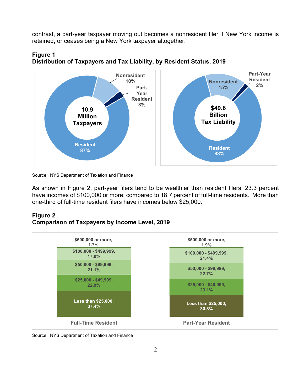contrast, a part-year taxpayer moving out becomes a nonresident filer if New York income is retained, or ceases being a New York taxpayer altogether.



#### **Figure 1 Distribution of Taxpayers and Tax Liability, by Resident Status, 2019**

Source: NYS Department of Taxation and Finance

As shown in Figure 2, part-year filers tend to be wealthier than resident filers: 23.3 percent have incomes of \$100,000 or more, compared to 18.7 percent of full-time residents. More than one-third of full-time resident filers have incomes below \$25,000.

#### **Figure 2 Comparison of Taxpayers by Income Level, 2019**



Source: NYS Department of Taxation and Finance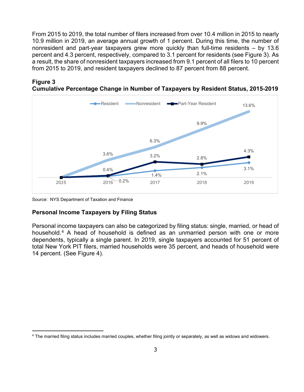From 2015 to 2019, the total number of filers increased from over 10.4 million in 2015 to nearly 10.9 million in 2019, an average annual growth of 1 percent. During this time, the number of nonresident and part-year taxpayers grew more quickly than full-time residents – by 13.6 percent and 4.3 percent, respectively, compared to 3.1 percent for residents (see Figure 3). As a result, the share of nonresident taxpayers increased from 9.1 percent of all filers to 10 percent from 2015 to 2019, and resident taxpayers declined to 87 percent from 88 percent.



#### **Figure 3 Cumulative Percentage Change in Number of Taxpayers by Resident Status, 2015-2019**

Source: NYS Department of Taxation and Finance

#### **Personal Income Taxpayers by Filing Status**

Personal income taxpayers can also be categorized by filing status: single, married, or head of household.[4](#page-5-0) A head of household is defined as an unmarried person with one or more dependents, typically a single parent. In 2019, single taxpayers accounted for 51 percent of total New York PIT filers, married households were 35 percent, and heads of household were 14 percent. (See Figure 4).

<span id="page-5-0"></span><sup>4</sup> The married filing status includes married couples, whether filing jointly or separately, as well as widows and widowers.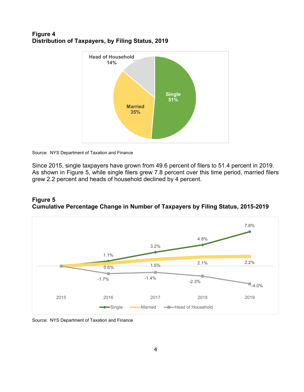#### **Figure 4 Distribution of Taxpayers, by Filing Status, 2019**



Source: NYS Department of Taxation and Finance

Since 2015, single taxpayers have grown from 49.6 percent of filers to 51.4 percent in 2019. As shown in Figure 5, while single filers grew 7.8 percent over this time period, married filers grew 2.2 percent and heads of household declined by 4 percent.

#### **Figure 5 Cumulative Percentage Change in Number of Taxpayers by Filing Status, 2015-2019**



Source: NYS Department of Taxation and Finance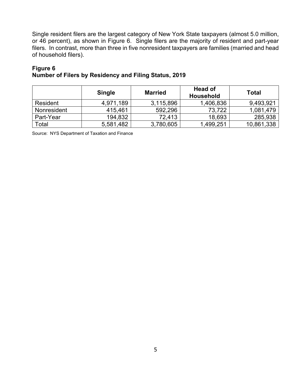Single resident filers are the largest category of New York State taxpayers (almost 5.0 million, or 46 percent), as shown in Figure 6. Single filers are the majority of resident and part-year filers. In contrast, more than three in five nonresident taxpayers are families (married and head of household filers).

#### **Figure 6**

|  | Number of Filers by Residency and Filing Status, 2019 |  |
|--|-------------------------------------------------------|--|
|  |                                                       |  |

|             | <b>Single</b> | <b>Married</b> | <b>Head of</b><br><b>Household</b> | Total      |
|-------------|---------------|----------------|------------------------------------|------------|
| Resident    | 4,971,189     | 3,115,896      | 1,406,836                          | 9,493,921  |
| Nonresident | 415.461       | 592,296        | 73,722                             | 1,081,479  |
| Part-Year   | 194,832       | 72.413         | 18,693                             | 285,938    |
| Total       | 5,581,482     | 3,780,605      | 1,499,251                          | 10,861,338 |

Source: NYS Department of Taxation and Finance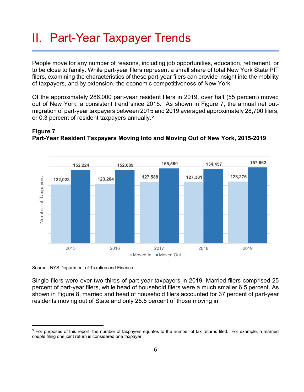### <span id="page-8-0"></span>II. Part-Year Taxpayer Trends

People move for any number of reasons, including job opportunities, education, retirement, or to be close to family. While part-year filers represent a small share of total New York State PIT filers, examining the characteristics of these part-year filers can provide insight into the mobility of taxpayers, and by extension, the economic competitiveness of New York.

Of the approximately 286,000 part-year resident filers in 2019, over half (55 percent) moved out of New York, a consistent trend since 2015. As shown in Figure 7, the annual net outmigration of part-year taxpayers between 2015 and 2019 averaged approximately 28,700 filers, or 0.3 percent of resident taxpayers annually.<sup>5</sup>



### **Part-Year Resident Taxpayers Moving Into and Moving Out of New York, 2015-2019**

Source: NYS Department of Taxation and Finance

**Figure 7**

Single filers were over two-thirds of part-year taxpayers in 2019. Married filers comprised 25 percent of part-year filers, while head of household filers were a much smaller 6.5 percent. As shown in Figure 8, married and head of household filers accounted for 37 percent of part-year residents moving out of State and only 25.5 percent of those moving in.

<span id="page-8-1"></span> $5$  For purposes of this report, the number of taxpayers equates to the number of tax returns filed. For example, a married couple filing one joint return is considered one taxpayer.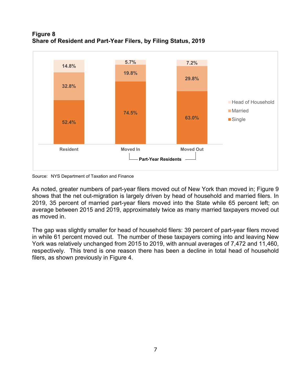#### **Figure 8 Share of Resident and Part-Year Filers, by Filing Status, 2019**



Source: NYS Department of Taxation and Finance

As noted, greater numbers of part-year filers moved out of New York than moved in; Figure 9 shows that the net out-migration is largely driven by head of household and married filers. In 2019, 35 percent of married part-year filers moved into the State while 65 percent left; on average between 2015 and 2019, approximately twice as many married taxpayers moved out as moved in.

The gap was slightly smaller for head of household filers: 39 percent of part-year filers moved in while 61 percent moved out. The number of these taxpayers coming into and leaving New York was relatively unchanged from 2015 to 2019, with annual averages of 7,472 and 11,460, respectively. This trend is one reason there has been a decline in total head of household filers, as shown previously in Figure 4.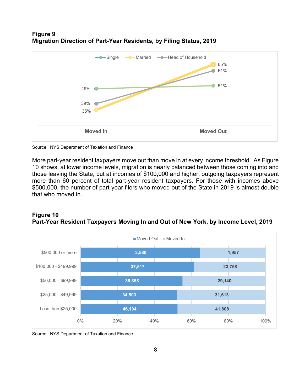#### **Figure 9 Migration Direction of Part-Year Residents, by Filing Status, 2019**



Source: NYS Department of Taxation and Finance

More part-year resident taxpayers move out than move in at every income threshold. As Figure 10 shows, at lower income levels, migration is nearly balanced between those coming into and those leaving the State, but at incomes of \$100,000 and higher, outgoing taxpayers represent more than 60 percent of total part-year resident taxpayers. For those with incomes above \$500,000, the number of part-year filers who moved out of the State in 2019 is almost double that who moved in.

#### **Figure 10 Part-Year Resident Taxpayers Moving In and Out of New York, by Income Level, 2019**



Source: NYS Department of Taxation and Finance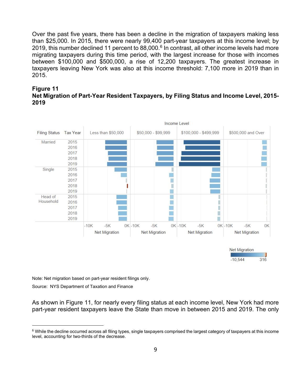Over the past five years, there has been a decline in the migration of taxpayers making less than \$25,000. In 2015, there were nearly 99,400 part-year taxpayers at this income level; by 2019, this number declined 11 percent to  $88,000$ .<sup>[6](#page-11-0)</sup> In contrast, all other income levels had more migrating taxpayers during this time period, with the largest increase for those with incomes between \$100,000 and \$500,000, a rise of 12,200 taxpayers. The greatest increase in taxpayers leaving New York was also at this income threshold: 7,100 more in 2019 than in 2015.





Note: Net migration based on part-year resident filings only. Source: NYS Department of Taxation and Finance

As shown in Figure 11, for nearly every filing status at each income level, New York had more part-year resident taxpayers leave the State than move in between 2015 and 2019. The only

<span id="page-11-0"></span><sup>&</sup>lt;sup>6</sup> While the decline occurred across all filing types, single taxpayers comprised the largest category of taxpayers at this income level, accounting for two-thirds of the decrease.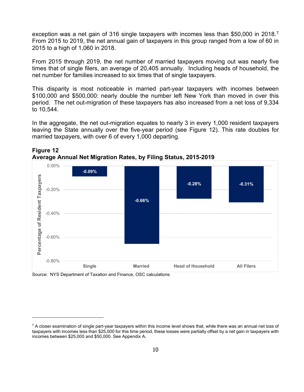exception was a net gain of 316 single taxpayers with incomes less than \$50,000 in 2018.<sup>[7](#page-12-0)</sup> From 2015 to 2019, the net annual gain of taxpayers in this group ranged from a low of 60 in 2015 to a high of 1,060 in 2018.

From 2015 through 2019, the net number of married taxpayers moving out was nearly five times that of single filers, an average of 20,405 annually. Including heads of household, the net number for families increased to six times that of single taxpayers.

This disparity is most noticeable in married part-year taxpayers with incomes between \$100,000 and \$500,000: nearly double the number left New York than moved in over this period. The net out-migration of these taxpayers has also increased from a net loss of 9,334 to 10,544.

In the aggregate, the net out-migration equates to nearly 3 in every 1,000 resident taxpayers leaving the State annually over the five-year period (see Figure 12). This rate doubles for married taxpayers, with over 6 of every 1,000 departing.





Source: NYS Department of Taxation and Finance, OSC calculations

<span id="page-12-0"></span> $7$  A closer examination of single part-year taxpayers within this income level shows that, while there was an annual net loss of taxpayers with incomes less than \$25,000 for this time period, these losses were partially offset by a net gain in taxpayers with incomes between \$25,000 and \$50,000. See Appendix A.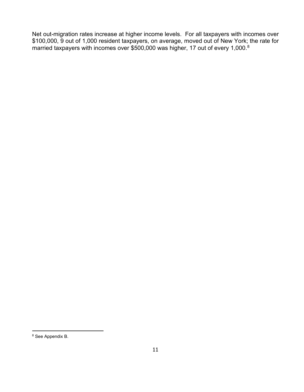Net out-migration rates increase at higher income levels. For all taxpayers with incomes over \$100,000, 9 out of 1,000 resident taxpayers, on average, moved out of New York; the rate for married taxpayers with incomes over \$500,000 was higher, 17 out of every 1,000. [8](#page-13-0)

<span id="page-13-0"></span><sup>8</sup> See Appendix B.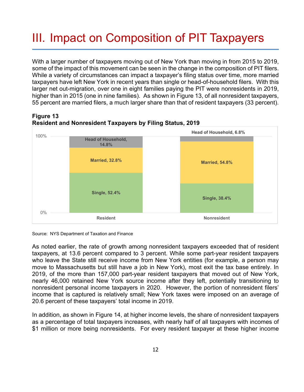# <span id="page-14-0"></span>III. Impact on Composition of PIT Taxpayers

With a larger number of taxpayers moving out of New York than moving in from 2015 to 2019, some of the impact of this movement can be seen in the change in the composition of PIT filers. While a variety of circumstances can impact a taxpayer's filing status over time, more married taxpayers have left New York in recent years than single or head-of-household filers. With this larger net out-migration, over one in eight families paying the PIT were nonresidents in 2019, higher than in 2015 (one in nine families). As shown in Figure 13, of all nonresident taxpayers, 55 percent are married filers, a much larger share than that of resident taxpayers (33 percent).







As noted earlier, the rate of growth among nonresident taxpayers exceeded that of resident taxpayers, at 13.6 percent compared to 3 percent. While some part-year resident taxpayers who leave the State still receive income from New York entities (for example, a person may move to Massachusetts but still have a job in New York), most exit the tax base entirely. In 2019, of the more than 157,000 part-year resident taxpayers that moved out of New York, nearly 46,000 retained New York source income after they left, potentially transitioning to nonresident personal income taxpayers in 2020. However, the portion of nonresident filers' income that is captured is relatively small; New York taxes were imposed on an average of 20.6 percent of these taxpayers' total income in 2019.

In addition, as shown in Figure 14, at higher income levels, the share of nonresident taxpayers as a percentage of total taxpayers increases, with nearly half of all taxpayers with incomes of \$1 million or more being nonresidents. For every resident taxpayer at these higher income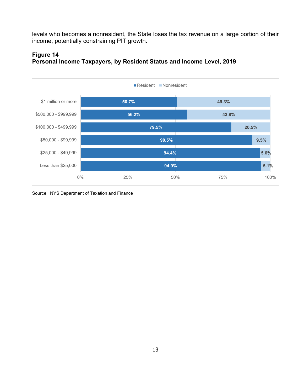levels who becomes a nonresident, the State loses the tax revenue on a large portion of their income, potentially constraining PIT growth.



**Figure 14 Personal Income Taxpayers, by Resident Status and Income Level, 2019**

Source: NYS Department of Taxation and Finance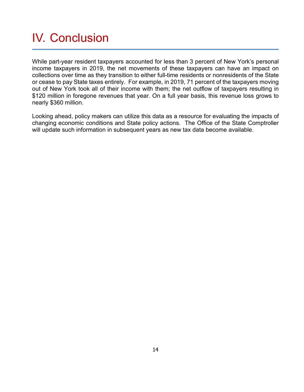## <span id="page-16-0"></span>IV. Conclusion

While part-year resident taxpayers accounted for less than 3 percent of New York's personal income taxpayers in 2019, the net movements of these taxpayers can have an impact on collections over time as they transition to either full-time residents or nonresidents of the State or cease to pay State taxes entirely. For example, in 2019, 71 percent of the taxpayers moving out of New York took all of their income with them; the net outflow of taxpayers resulting in \$120 million in foregone revenues that year. On a full year basis, this revenue loss grows to nearly \$360 million.

Looking ahead, policy makers can utilize this data as a resource for evaluating the impacts of changing economic conditions and State policy actions. The Office of the State Comptroller will update such information in subsequent years as new tax data become available.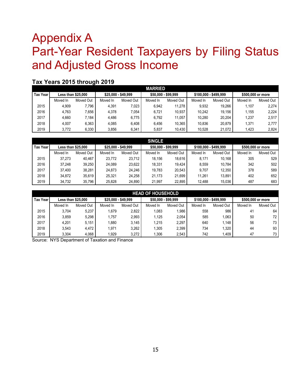### <span id="page-17-0"></span>Appendix A Part-Year Resident Taxpayers by Filing Status and Adjusted Gross Income

#### **Tax Years 2015 through 2019**

|                 |                           |           |                     |           | <b>MARRIED</b>      |           |                       |           |                   |           |
|-----------------|---------------------------|-----------|---------------------|-----------|---------------------|-----------|-----------------------|-----------|-------------------|-----------|
| <b>Tax Year</b> | <b>Less than \$25,000</b> |           | \$25,000 - \$49,999 |           | \$50,000 - \$99,999 |           | \$100.000 - \$499.999 |           | \$500,000 or more |           |
|                 | Moved In                  | Moved Out | Moved In            | Moved Out | Moved In            | Moved Out | Moved In              | Moved Out | Moved In          | Moved Out |
| 2015            | 4.909                     | 7.796     | 4.391               | 7.023     | 6.942               | 11.278    | 9.932                 | 19.266    | 1.107             | 2.274     |
| 2016            | 4.763                     | 7.656     | 4.378               | 7.054     | 6.721               | 10.937    | 10.242                | 19.156    | 1.155             | 2.224     |
| 2017            | 4.660                     | 7.184     | 4.486               | 6.775     | 6.792               | 11.057    | 10.280                | 20.204    | 1.237             | 2.517     |
| 2018            | 4.007                     | 6.363     | 4.085               | 6.408     | 6.456               | 10.365    | 10.836                | 20.879    | 1,371             | 2.777     |
| 2019            | 3.772                     | 6,330     | 3.856               | 6,341     | 5.837               | 10,430    | 10.528                | 21.072    | 1.423             | 2,824     |

| <b>SINGLE</b>   |                           |           |                     |           |                     |           |                       |           |                   |           |
|-----------------|---------------------------|-----------|---------------------|-----------|---------------------|-----------|-----------------------|-----------|-------------------|-----------|
| <b>Tax Year</b> | <b>Less than \$25,000</b> |           | \$25,000 - \$49,999 |           | \$50,000 - \$99,999 |           | \$100.000 - \$499.999 |           | \$500,000 or more |           |
|                 | Moved In                  | Moved Out | Moved In            | Moved Out | Moved In            | Moved Out | Moved In              | Moved Out | Moved In          | Moved Out |
| 2015            | 37.273                    | 40.467    | 23.772              | 23.712    | 18.156              | 18.616    | 8.171                 | 10.168    | 305               | 529       |
| 2016            | 37.248                    | 39.250    | 24.089              | 23,622    | 18.331              | 19.424    | 8.559                 | 10.784    | 342               | 502       |
| 2017            | 37.400                    | 38.281    | 24.873              | 24.246    | 19.783              | 20.543    | 9.707                 | 12.350    | 378               | 589       |
| 2018            | 34.872                    | 35.619    | 25.321              | 24,258    | 21.173              | 21.699    | 11.261                | 13.891    | 402               | 652       |
| 2019            | 34.732                    | 35.796    | 25.828              | 24,890    | 21.997              | 22.895    | 12,488                | 15.036    | 487               | 683       |

|                 | <b>HEAD OF HOUSEHOLD</b>  |           |                     |           |                     |           |                       |           |                   |           |  |
|-----------------|---------------------------|-----------|---------------------|-----------|---------------------|-----------|-----------------------|-----------|-------------------|-----------|--|
| <b>Tax Year</b> | <b>Less than \$25,000</b> |           | \$25,000 - \$49,999 |           | \$50,000 - \$99,999 |           | \$100.000 - \$499.999 |           | \$500,000 or more |           |  |
|                 | Moved In                  | Moved Out | Moved In            | Moved Out | Moved In            | Moved Out | Moved In              | Moved Out | Moved In          | Moved Out |  |
| 2015            | 3.704                     | 5.237     | 1.679               | 2.822     | 1,083               | .986      | 558                   | 986       | 41                | 64        |  |
| 2016            | 3.859                     | 5.298     | 1.757               | 2.993     | 1.125               | 2.054     | 585                   | 1.063     | 50                | 72        |  |
| 2017            | 4.201                     | 5,151     | 0.880               | 3.145     | 1.215               | 2,297     | 640                   | 1.148     | 56                | 73        |  |
| 2018            | 3.543                     | 4.472     | 1.971               | 3.262     | 1.305               | 2.399     | 734                   | 1.320     | 44                | 93        |  |
| 2019            | 3.304                     | 4.068     | 1.929               | 3,272     | 1.306               | 2.543     | 742                   | 1.409     | 47                | 73        |  |

Source: NYS Department of Taxation and Finance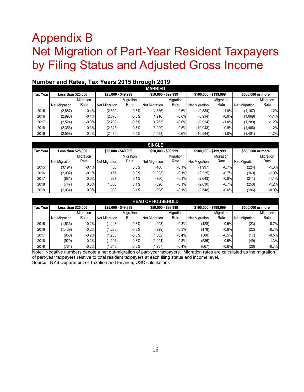### <span id="page-18-0"></span>Appendix B Net Migration of Part-Year Resident Taxpayers by Filing Status and Adjusted Gross Income

|          | .                         |           |                     |           |                      |           |                       |           |                      |           |  |  |
|----------|---------------------------|-----------|---------------------|-----------|----------------------|-----------|-----------------------|-----------|----------------------|-----------|--|--|
|          | <b>MARRIED</b>            |           |                     |           |                      |           |                       |           |                      |           |  |  |
| Tax Year | <b>Less than \$25,000</b> |           | \$25,000 - \$49,999 |           | \$50,000 - \$99,999  |           | \$100.000 - \$499.999 |           | \$500,000 or more    |           |  |  |
|          |                           | Migration |                     | Migration |                      | Migration |                       | Migration |                      | Migration |  |  |
|          | Net Migration             | Rate      | Net Migration       | Rate      | <b>Net Migration</b> | Rate      | <b>Net Migration</b>  | Rate      | <b>Net Migration</b> | Rate      |  |  |
| 2015     | (2,887)                   | $-0.4%$   | (2,632)             | $-0.5%$   | (4,336)              | $-0.6%$   | (9, 334)              | $-1.0%$   | (1, 167)             | $-1.2%$   |  |  |
| 2016     | (2,893)                   | $-0.4%$   | (2,676)             | $-0.5%$   | (4,216)              | $-0.6%$   | (8,914)               | $-0.9%$   | (1,069)              | $-1.1%$   |  |  |
| 2017     | (2,524)                   | $-0.3%$   | (2, 289)            | $-0.5%$   | (4,265)              | $-0.6%$   | (9,924)               | $-1.0%$   | (1,280)              | $-1.2%$   |  |  |
| 2018     | (2,356)                   | $-0.3%$   | (2,323)             | $-0.5%$   | (3,909)              | $-0.5%$   | (10,043)              | $-0.9%$   | (1,406)              | $-1.2%$   |  |  |
| 2019     | (2,558)                   | $-0.4%$   | (2,485)             | $-0.5%$   | (4, 593)             | $-0.6%$   | (10,544)              | $-1.0%$   | (1,401)              | $-1.2%$   |  |  |

### **Number and Rates, Tax Years 2015 through 2019**

| <b>SINGLE</b>   |                           |           |                      |                  |                      |           |                       |                  |                      |           |
|-----------------|---------------------------|-----------|----------------------|------------------|----------------------|-----------|-----------------------|------------------|----------------------|-----------|
| <b>Tax Year</b> | <b>Less than \$25,000</b> |           | \$25,000 - \$49,999  |                  | \$50.000 - \$99.999  |           | \$100.000 - \$499.999 |                  | \$500,000 or more    |           |
|                 |                           | Migration |                      | <b>Migration</b> |                      | Migration |                       | <b>Migration</b> |                      | Migration |
|                 | <b>Net Migration</b>      | Rate      | <b>Net Migration</b> | Rate             | <b>Net Migration</b> | Rate      | <b>Net Migration</b>  | Rate             | <b>Net Migration</b> | Rate      |
| 2015            | (3, 194)                  | $-0.1%$   | 60                   | $0.0\%$          | (460)                | $-0.1%$   | (1,997)               | $-0.7%$          | (224)                | $-1.3%$   |
| 2016            | (2,002)                   | $-0.1%$   | 467                  | $0.0\%$          | (1,093)              | $-0.1%$   | (2, 225)              | $-0.7%$          | (160)                | $-1.0%$   |
| 2017            | (881)                     | 0.0%      | 627                  | 0.1%             | (760)                | $-0.1%$   | (2,643)               | $-0.8%$          | (211)                | $-1.1%$   |
| 2018            | (747)                     | 0.0%      | 1,063                | 0.1%             | (526)                | $-0.1%$   | (2,630)               | $-0.7%$          | (250)                | $-1.2%$   |
| 2019            | (1.064)                   | $0.0\%$   | 938                  | 0.1%             | (898)                | $-0.1%$   | (2,548)               | $-0.6%$          | (196)                | $-0.9%$   |

| <b>HEAD OF HOUSEHOLD</b> |                           |           |                      |           |                      |                  |                       |           |               |                   |  |
|--------------------------|---------------------------|-----------|----------------------|-----------|----------------------|------------------|-----------------------|-----------|---------------|-------------------|--|
| <b>Tax Year</b>          | <b>Less than \$25,000</b> |           | \$25,000 - \$49,999  |           | \$50.000 - \$99.999  |                  | \$100.000 - \$499.999 |           |               | \$500,000 or more |  |
|                          |                           | Migration |                      | Migration |                      | <b>Migration</b> |                       | Migration |               | Migration         |  |
|                          | <b>Net Migration</b>      | Rate      | <b>Net Migration</b> | Rate      | <b>Net Migration</b> | Rate             | <b>Net Migration</b>  | Rate      | Net Migration | Rate              |  |
| 2015                     | (1,533)                   | $-0.2%$   | (1, 143)             | $-0.3%$   | (903)                | $-0.3%$          | (428)                 | $-0.5%$   | (23)          | $-0.7%$           |  |
| 2016                     | (1, 439)                  | $-0.2%$   | (1,236)              | $-0.3%$   | (929)                | $-0.3%$          | (478)                 | $-0.6%$   | (22)          | $-0.7%$           |  |
| 2017                     | (950)                     | $-0.2%$   | (1, 265)             | $-0.3%$   | (1,082)              | $-0.4%$          | (508)                 | $-0.5%$   | (17)          | $-0.5%$           |  |
| 2018                     | (929)                     | $-0.2%$   | (1, 291)             | $-0.3%$   | (1,094)              | $-0.3%$          | (586)                 | $-0.5%$   | (49)          | $-1.3%$           |  |
| 2019                     | (764)                     | $-0.2%$   | (1, 343)             | $-0.3%$   | (1,237)              | $-0.4%$          | (667)                 | $-0.6%$   | (26)          | $-0.7%$           |  |

Note: Negative numbers denote a net out-migration of part-year taxpayers. Migration rates are calculated as the migration of part-year taxpayers relative to total resident taxpayers at each filing status and income level. Source: NYS Department of Taxation and Finance, OSC calculations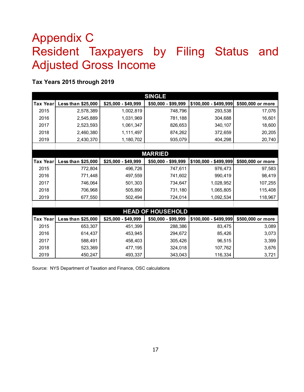## <span id="page-19-0"></span>Appendix C Resident Taxpayers by Filing Status and Adjusted Gross Income

#### **Tax Years 2015 through 2019**

|                 | <b>SINGLE</b>      |                     |                          |                       |                   |  |  |  |  |  |  |  |
|-----------------|--------------------|---------------------|--------------------------|-----------------------|-------------------|--|--|--|--|--|--|--|
| <b>Tax Year</b> | Less than \$25,000 | \$25,000 - \$49,999 | \$50,000 - \$99,999      | \$100,000 - \$499,999 | \$500,000 or more |  |  |  |  |  |  |  |
| 2015            | 2,578,389          | 1,002,819           | 748,796                  | 293,538               | 17,076            |  |  |  |  |  |  |  |
| 2016            | 2,545,889          | 1,031,969           | 781,188                  | 304,688               | 16,601            |  |  |  |  |  |  |  |
| 2017            | 2,523,593          | 1,061,347           | 826,653                  | 340,107               | 18,600            |  |  |  |  |  |  |  |
| 2018            | 2,460,380          | 1,111,497           | 874,262                  | 372,659               | 20,205            |  |  |  |  |  |  |  |
| 2019            | 2,430,370          | 1,180,702           | 935,079                  | 404,298               | 20,740            |  |  |  |  |  |  |  |
|                 |                    |                     |                          |                       |                   |  |  |  |  |  |  |  |
|                 |                    |                     | <b>MARRIED</b>           |                       |                   |  |  |  |  |  |  |  |
| Tax Year        | Less than \$25,000 | \$25,000 - \$49,999 | \$50,000 - \$99,999      | \$100,000 - \$499,999 | \$500,000 or more |  |  |  |  |  |  |  |
| 2015            | 772,804            | 496,726             | 747,611                  | 976,473               | 97,583            |  |  |  |  |  |  |  |
| 2016            | 771,448            | 497,559             | 741,602                  | 990,419               | 98,419            |  |  |  |  |  |  |  |
| 2017            | 746,064            | 501,303             | 734,647                  | 1,028,952             | 107,255           |  |  |  |  |  |  |  |
| 2018            | 706,968            | 505,890             | 731,180                  | 1,065,805             | 115,408           |  |  |  |  |  |  |  |
| 2019            | 677,550            | 502,494             | 724,014                  | 1,092,534             | 118,967           |  |  |  |  |  |  |  |
|                 |                    |                     |                          |                       |                   |  |  |  |  |  |  |  |
|                 |                    |                     | <b>HEAD OF HOUSEHOLD</b> |                       |                   |  |  |  |  |  |  |  |
| <b>Tax Year</b> | Less than \$25,000 | \$25,000 - \$49,999 | \$50,000 - \$99,999      | \$100,000 - \$499,999 | \$500,000 or more |  |  |  |  |  |  |  |
| 2015            | 653,307            | 451,399             | 288,386                  | 83,475                | 3,089             |  |  |  |  |  |  |  |
| 2016            | 614,437            | 453,945             | 294,672                  | 85,426                | 3,073             |  |  |  |  |  |  |  |
| 2017            | 588,491            | 458,403             | 305,426                  | 96,515                | 3,399             |  |  |  |  |  |  |  |
| 2018            | 523,369            | 477,195             | 324,018                  | 107,762               | 3,676             |  |  |  |  |  |  |  |
| 2019            | 450,247            | 493,337             | 343,043                  | 116,334               | 3,721             |  |  |  |  |  |  |  |

Source: NYS Department of Taxation and Finance, OSC calculations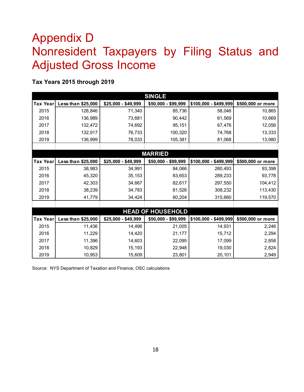### <span id="page-20-0"></span>Appendix D Nonresident Taxpayers by Filing Status and Adjusted Gross Income

#### **Tax Years 2015 through 2019**

|                 | <b>SINGLE</b>      |                     |                          |                       |                   |  |  |  |  |  |  |  |
|-----------------|--------------------|---------------------|--------------------------|-----------------------|-------------------|--|--|--|--|--|--|--|
| <b>Tax Year</b> | Less than \$25,000 | \$25,000 - \$49,999 | \$50,000 - \$99,999      | \$100,000 - \$499,999 | \$500,000 or more |  |  |  |  |  |  |  |
| 2015            | 128.846            | 71,340              | 85,736                   | 58,046                | 10,865            |  |  |  |  |  |  |  |
| 2016            | 136,989            | 73,681              | 90,442                   | 61,569                | 10,669            |  |  |  |  |  |  |  |
| 2017            | 132,472            | 74,692              | 95,151                   | 67,476                | 12,056            |  |  |  |  |  |  |  |
| 2018            | 132,917            | 76,733              | 100,320                  | 74,768                | 13,333            |  |  |  |  |  |  |  |
| 2019            | 136,999            | 78,033              | 105,381                  | 81,068                | 13,980            |  |  |  |  |  |  |  |
|                 |                    |                     |                          |                       |                   |  |  |  |  |  |  |  |
|                 |                    |                     | <b>MARRIED</b>           |                       |                   |  |  |  |  |  |  |  |
| <b>Tax Year</b> | Less than \$25,000 | \$25,000 - \$49,999 | \$50,000 - \$99,999      | \$100,000 - \$499,999 | \$500,000 or more |  |  |  |  |  |  |  |
| 2015            | 38,983             | 34,991              | 84,066                   | 280,493               | 93,398            |  |  |  |  |  |  |  |
| 2016            | 45,320             | 35,153              | 83,653                   | 289,233               | 93,778            |  |  |  |  |  |  |  |
| 2017            | 42,303             | 34,667              | 82,617                   | 297,550               | 104,412           |  |  |  |  |  |  |  |
| 2018            | 38,239             | 34,783              | 81,526                   | 308,232               | 113,430           |  |  |  |  |  |  |  |
| 2019            | 41,779             | 34,424              | 80,204                   | 315,660               | 119,570           |  |  |  |  |  |  |  |
|                 |                    |                     |                          |                       |                   |  |  |  |  |  |  |  |
|                 |                    |                     | <b>HEAD OF HOUSEHOLD</b> |                       |                   |  |  |  |  |  |  |  |
| <b>Tax Year</b> | Less than \$25,000 | \$25,000 - \$49,999 | \$50,000 - \$99,999      | \$100,000 - \$499,999 | \$500,000 or more |  |  |  |  |  |  |  |
| 2015            | 11,436             | 14,496              | 21,005                   | 14,931                | 2,246             |  |  |  |  |  |  |  |
| 2016            | 11,229             | 14,420              | 21,177                   | 15,712                | 2,294             |  |  |  |  |  |  |  |
| 2017            | 11,396             | 14,603              | 22,095                   | 17,099                | 2,858             |  |  |  |  |  |  |  |
| 2018            | 10,829             | 15,193              | 22,948                   | 19,030                | 2,824             |  |  |  |  |  |  |  |
| 2019            | 10,953             | 15,609              | 23,801                   | 20,101                | 2,949             |  |  |  |  |  |  |  |

Source: NYS Department of Taxation and Finance, OSC calculations